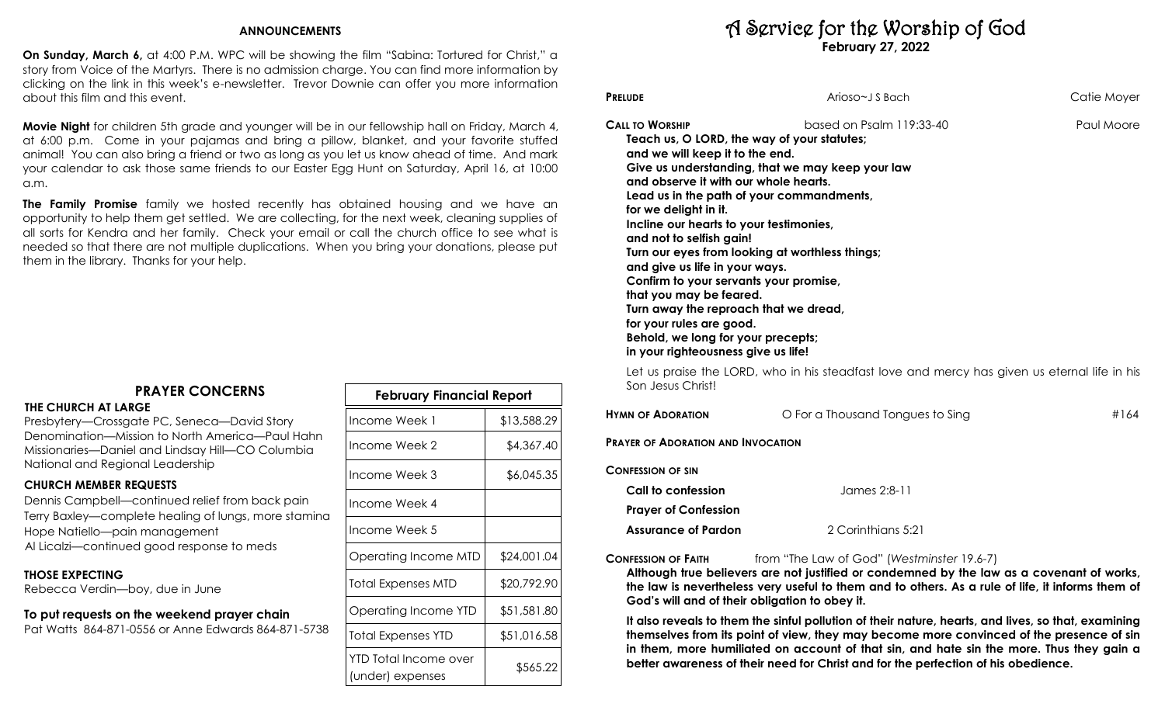# **ANNOUNCEMENTS**

**On Sunday, March 6,** at 4:00 P.M. WPC will be showing the film "Sabina: Tortured for Christ," a story from Voice of the Martyrs. There is no admission charge. You can find more information by clicking on the link in this week's e-newsletter. Trevor Downie can offer you more information about this film and this event.

**Movie Night** for children 5th grade and younger will be in our fellowship hall on Friday, March 4, at 6:00 p.m. Come in your pajamas and bring a pillow, blanket, and your favorite stuffed animal! You can also bring a friend or two as long as you let us know ahead of time. And mark your calendar to ask those same friends to our Easter Egg Hunt on Saturday, April 16, at 10:00 a.m.

**The Family Promise** family we hosted recently has obtained housing and we have an opportunity to help them get settled. We are collecting, for the next week, cleaning supplies of all sorts for Kendra and her family. Check your email or call the church office to see what is needed so that there are not multiple duplications. When you bring your donations, please put them in the library. Thanks for your help.

# **PRAYER CONCERNS**

#### **THE CHURCH AT LARGE**

Presbytery—Crossgate PC, Seneca—David Story Denomination—Mission to North America—Paul Hahn Missionaries—Daniel and Lindsay Hill—CO Columbia National and Regional Leadership

# **CHURCH MEMBER REQUESTS**

Dennis Campbell—continued relief from back pain Terry Baxley—complete healing of lungs, more stamina Hope Natiello—pain management Al Licalzi—continued good response to meds

## **THOSE EXPECTING**

Rebecca Verdin—boy, due in June

### **To put requests on the weekend prayer chain** Pat Watts 864-871-0556 or Anne Edwards 864-871-5738

| February Financial Report                 |             |  |  |
|-------------------------------------------|-------------|--|--|
| Income Week 1                             | \$13,588.29 |  |  |
| Income Week 2                             | \$4,367.40  |  |  |
| Income Week 3                             | \$6,045.35  |  |  |
| Income Week 4                             |             |  |  |
| Income Week 5                             |             |  |  |
| Operating Income MTD                      | \$24,001.04 |  |  |
| Total Expenses MTD                        | \$20,792.90 |  |  |
| Operating Income YTD                      | \$51,581.80 |  |  |
| Total Expenses YTD                        | \$51,016.58 |  |  |
| YTD Total Income over<br>(under) expenses | \$565.22    |  |  |

# A Service for the Worship of God **February 27, 2022**

| <b>PRELUDE</b>                                                                                                                                                                                                                                                                                                                                                                                                                                                                                             | Arioso~J S Bach                                                                                                                                                              | Catie Moyer |
|------------------------------------------------------------------------------------------------------------------------------------------------------------------------------------------------------------------------------------------------------------------------------------------------------------------------------------------------------------------------------------------------------------------------------------------------------------------------------------------------------------|------------------------------------------------------------------------------------------------------------------------------------------------------------------------------|-------------|
| <b>CALL TO WORSHIP</b><br>Teach us, O LORD, the way of your statutes;<br>and we will keep it to the end.<br>and observe it with our whole hearts.<br>for we delight in it.<br>Incline our hearts to your testimonies,<br>and not to selfish gain!<br>and give us life in your ways.<br>Confirm to your servants your promise,<br>that you may be feared.<br>Turn away the reproach that we dread,<br>for your rules are good.<br>Behold, we long for your precepts;<br>in your righteousness give us life! | based on Psalm 119:33-40<br>Give us understanding, that we may keep your law<br>Lead us in the path of your commandments,<br>Turn our eyes from looking at worthless things; | Paul Moore  |
| Son Jesus Christ!                                                                                                                                                                                                                                                                                                                                                                                                                                                                                          | Let us praise the LORD, who in his steadfast love and mercy has given us eternal life in his                                                                                 |             |

| O For a Thousand Tongues to Sing          | #164 |
|-------------------------------------------|------|
| <b>PRAYER OF ADORATION AND INVOCATION</b> |      |
|                                           |      |
| James 2:8-11                              |      |
|                                           |      |
|                                           |      |

**Assurance of Pardon** 2 Corinthians 5:21

**CONFESSION OF FAITH** from "The Law of God" (*Westminster* 19.6-7)

**Although true believers are not justified or condemned by the law as a covenant of works, the law is nevertheless very useful to them and to others. As a rule of life, it informs them of God's will and of their obligation to obey it.** 

**It also reveals to them the sinful pollution of their nature, hearts, and lives, so that, examining themselves from its point of view, they may become more convinced of the presence of sin in them, more humiliated on account of that sin, and hate sin the more. Thus they gain a better awareness of their need for Christ and for the perfection of his obedience.**